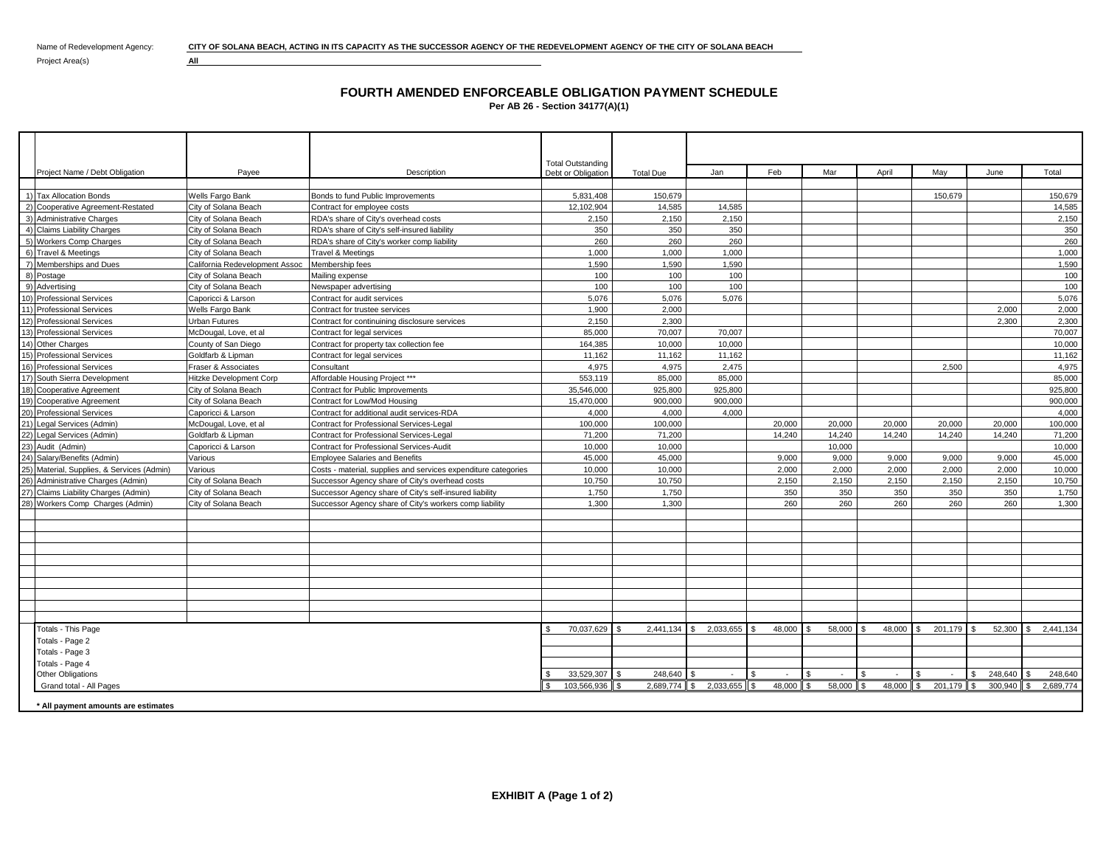Name of Redevelopment Agency: **CITY OF SOLANA BEACH, ACTING IN ITS CAPACITY AS THE SUCCESSOR AGENCY OF THE REDEVELOPMENT AGENCY OF THE CITY OF SOLANA BEACH** 

Project Area(s) **All** 

## **FOURTH AMENDED ENFORCEABLE OBLIGATION PAYMENT SCHEDULE Per AB 26 - Section 34177(A)(1)**

|                                            |                                |                                                                | <b>Total Outstanding</b> |                  |                        |               |              |                |                |               |           |
|--------------------------------------------|--------------------------------|----------------------------------------------------------------|--------------------------|------------------|------------------------|---------------|--------------|----------------|----------------|---------------|-----------|
| Project Name / Debt Obligation             | Payee                          | Description                                                    | Debt or Obligation       | <b>Total Due</b> | Jan                    | Feb           | Mar          | April          | May            | June          | Total     |
| 1) Tax Allocation Bonds                    | Wells Fargo Bank               | Bonds to fund Public Improvements                              | 5,831,408                | 150.679          |                        |               |              |                | 150.679        |               | 150.679   |
| 2) Cooperative Agreement-Restated          | City of Solana Beach           | Contract for employee costs                                    | 12.102.904               | 14.585           | 14.585                 |               |              |                |                |               | 14,585    |
| 3) Administrative Charges                  | City of Solana Beach           | RDA's share of City's overhead costs                           | 2,150                    | 2.150            | 2.150                  |               |              |                |                |               | 2,150     |
| 4) Claims Liability Charges                | City of Solana Beach           | RDA's share of City's self-insured liability                   | 350                      | 350              | 350                    |               |              |                |                |               | 350       |
| 5) Workers Comp Charges                    | City of Solana Beach           | RDA's share of City's worker comp liability                    | 260                      | 260              | 260                    |               |              |                |                |               | 260       |
| 6) Travel & Meetings                       | City of Solana Beach           | Travel & Meetings                                              | 1,000                    | 1,000            | 1,000                  |               |              |                |                |               | 1,000     |
| 7) Memberships and Dues                    | California Redevelopment Assoc | Membership fees                                                | 1,590                    | 1,590            | 1,590                  |               |              |                |                |               | 1,590     |
| 8) Postage                                 | City of Solana Beach           | Mailing expense                                                | 100                      | 100              | 100                    |               |              |                |                |               | 100       |
| 9) Advertising                             | City of Solana Beach           | Newspaper advertising                                          | 100                      | 100              | 100                    |               |              |                |                |               | 100       |
| 10) Professional Services                  | Caporicci & Larson             | Contract for audit services                                    | 5,076                    | 5.076            | 5,076                  |               |              |                |                |               | 5,076     |
| 11) Professional Services                  | Wells Fargo Bank               | Contract for trustee services                                  | 1,900                    | 2.000            |                        |               |              |                |                | 2.000         | 2,000     |
| 12) Professional Services                  | <b>Urban Futures</b>           | Contract for continuining disclosure services                  | 2,150                    | 2,300            |                        |               |              |                |                | 2.300         | 2,300     |
| 13) Professional Services                  | McDougal, Love, et al          | Contract for legal services                                    | 85,000                   | 70.007           | 70.007                 |               |              |                |                |               | 70.007    |
| 14) Other Charges                          | County of San Diego            | Contract for property tax collection fee                       | 164,385                  | 10.000           | 10.000                 |               |              |                |                |               | 10.000    |
| 15) Professional Services                  | Goldfarb & Lipman              | Contract for legal services                                    | 11.162                   | 11.162           | 11.162                 |               |              |                |                |               | 11.162    |
| 16) Professional Services                  | Fraser & Associates            | Consultant                                                     | 4.975                    | 4.975            | 2.475                  |               |              |                | 2.500          |               | 4.975     |
| 17) South Sierra Development               | <b>Hitzke Development Corp</b> | Affordable Housing Project ***                                 | 553.119                  | 85,000           | 85,000                 |               |              |                |                |               | 85,000    |
| 18) Cooperative Agreement                  | City of Solana Beach           | Contract for Public Improvements                               | 35,546,000               | 925.800          | 925,800                |               |              |                |                |               | 925,800   |
| 19) Cooperative Agreement                  | City of Solana Beach           | Contract for Low/Mod Housing                                   | 15,470,000               | 900.000          | 900.000                |               |              |                |                |               | 900.000   |
| 20) Professional Services                  | Caporicci & Larson             | Contract for additional audit services-RDA                     | 4.000                    | 4.000            | 4.000                  |               |              |                |                |               | 4.000     |
| 21) Legal Services (Admin)                 | McDougal, Love, et al          | <b>Contract for Professional Services-Legal</b>                | 100.000                  | 100.000          |                        | 20,000        | 20,000       | 20,000         | 20,000         | 20,000        | 100.000   |
| 22) Legal Services (Admin)                 | Goldfarb & Lipman              | Contract for Professional Services-Legal                       | 71,200                   | 71,200           |                        | 14.240        | 14,240       | 14.240         | 14,240         | 14.240        | 71,200    |
| 23) Audit (Admin)                          | Caporicci & Larson             | Contract for Professional Services-Audit                       | 10,000                   | 10,000           |                        |               | 10,000       |                |                |               | 10,000    |
| 24) Salary/Benefits (Admin)                | Various                        | <b>Employee Salaries and Benefits</b>                          | 45,000                   | 45,000           |                        | 9,000         | 9,000        | 9,000          | 9,000          | 9,000         | 45,000    |
| 25) Material, Supplies, & Services (Admin) | Various                        | Costs - material, supplies and services expenditure categories | 10,000                   | 10,000           |                        | 2.000         | 2,000        | 2,000          | 2.000          | 2.000         | 10,000    |
| 26) Administrative Charges (Admin)         | City of Solana Beach           | Successor Agency share of City's overhead costs                | 10,750                   | 10,750           |                        | 2,150         | 2,150        | 2,150          | 2,150          | 2.150         | 10,750    |
| 27) Claims Liability Charges (Admin)       | City of Solana Beach           | Successor Agency share of City's self-insured liability        | 1,750                    | 1,750            |                        | 350           | 350          | 350            | 350            | 350           | 1,750     |
| 28) Workers Comp Charges (Admin)           | City of Solana Beach           | Successor Agency share of City's workers comp liability        | 1,300                    | 1,300            |                        | 260           | 260          | 260            | 260            | 260           | 1.300     |
|                                            |                                |                                                                |                          |                  |                        |               |              |                |                |               |           |
|                                            |                                |                                                                |                          |                  |                        |               |              |                |                |               |           |
|                                            |                                |                                                                |                          |                  |                        |               |              |                |                |               |           |
|                                            |                                |                                                                |                          |                  |                        |               |              |                |                |               |           |
|                                            |                                |                                                                |                          |                  |                        |               |              |                |                |               |           |
|                                            |                                |                                                                |                          |                  |                        |               |              |                |                |               |           |
|                                            |                                |                                                                |                          |                  |                        |               |              |                |                |               |           |
|                                            |                                |                                                                |                          |                  |                        |               |              |                |                |               |           |
|                                            |                                |                                                                |                          |                  |                        |               |              |                |                |               |           |
| <b>Totals - This Page</b>                  |                                |                                                                | 70,037,629               | 2,441,134        | 2,033,655<br>S.        | 48,000        | 58,000       | 48.000         | 201,179<br>-S  | 52,300        | 2.441.134 |
| Totals - Page 2                            |                                |                                                                |                          |                  |                        |               |              |                |                |               |           |
| Totals - Page 3                            |                                |                                                                |                          |                  |                        |               |              |                |                |               |           |
| Totals - Page 4                            |                                |                                                                |                          |                  |                        |               |              |                |                |               |           |
| <b>Other Obligations</b>                   |                                |                                                                | 33,529,307 \$            | 248,640          |                        | \$.<br>$\sim$ | -S<br>$\sim$ | S.<br>$\sim$   | S.<br>$\sim$   | 248,640<br>\$ | 248,640   |
| Grand total - All Pages                    |                                |                                                                | 103,566,936              |                  | 2,689,774 \$ 2,033,655 | 48,000        | 58,000       | 48,000<br>ll s | l S<br>201,179 | 300.940       | 2.689.774 |
| * All payment amounts are estimates        |                                |                                                                |                          |                  |                        |               |              |                |                |               |           |